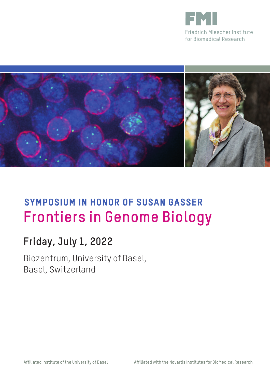



# **SYMPOSIUM IN HONOR OF SUSAN GASSER Frontiers in Genome Biology**

### **Friday, July 1, 2022**

Biozentrum, University of Basel, Basel, Switzerland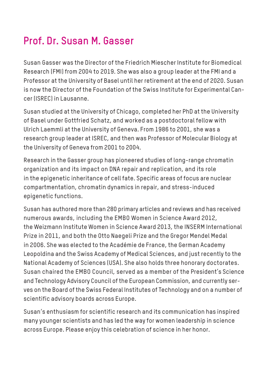## **Prof. Dr. Susan M. Gasser**

Susan Gasser was the Director of the Friedrich Miescher Institute for Biomedical Research (FMI) from 2004 to 2019. She was also a group leader at the FMI and a Professor at the University of Basel until her retirement at the end of 2020. Susan is now the Director of the Foundation of the Swiss Institute for Experimental Cancer (ISREC) in Lausanne.

Susan studied at the University of Chicago, completed her PhD at the University of Basel under Gottfried Schatz, and worked as a postdoctoral fellow with Ulrich Laemmli at the University of Geneva. From 1986 to 2001, she was a research group leader at ISREC, and then was Professor of Molecular Biology at the University of Geneva from 2001 to 2004.

Research in the Gasser group has pioneered studies of long-range chromatin organization and its impact on DNA repair and replication, and its role in the epigenetic inheritance of cell fate. Specific areas of focus are nuclear compartmentation, chromatin dynamics in repair, and stress-induced epigenetic functions.

Susan has authored more than 280 primary articles and reviews and has received numerous awards, including the EMBO Women in Science Award 2012, the Weizmann Institute Women in Science Award 2013, the INSERM International Prize in 2011, and both the Otto Naegeli Prize and the Gregor Mendel Medal in 2006. She was elected to the Académie de France, the German Academy Leopoldina and the Swiss Academy of Medical Sciences, and just recently to the National Academy of Sciences (USA). She also holds three honorary doctorates. Susan chaired the EMBO Council, served as a member of the President's Science and Technology Advisory Council of the European Commission, and currently serves on the Board of the Swiss Federal Institutes of Technology and on a number of scientific advisory boards across Europe.

Susan's enthusiasm for scientific research and its communication has inspired many younger scientists and has led the way for women leadership in science across Europe. Please enjoy this celebration of science in her honor.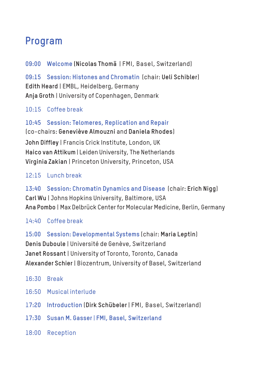#### **Program**

**09:00 Welcome (Nicolas Thomä** | FMI, Basel, Switzerland)

**09:15 Session: Histones and Chromatin** (chair: **Ueli Schibler**) **Edith Heard** | EMBL, Heidelberg, Germany **Anja Groth** | University of Copenhagen, Denmark

#### 10:15 Coffee break

**10:45 Session: Telomeres, Replication and Repair** (co-chairs: **Geneviève Almouzni** and **Daniela Rhodes**) **John Diffley** | Francis Crick Institute, London, UK **Haico van Attikum** | Leiden University, The Netherlands **Virginia Zakian** | Princeton University, Princeton, USA

12:15 Lunch break

**13:40 Session: Chromatin Dynamics and Disease** (chair: **Erich Nigg**) **Carl Wu** | Johns Hopkins University, Baltimore, USA **Ana Pombo** | Max Delbrück Center for Molecular Medicine, Berlin, Germany

14:40 Coffee break

**15:00 Session: Developmental Systems** (chair: **Maria Leptin**) **Denis Duboule** | Université de Genève, Switzerland **Janet Rossant** | University of Toronto, Toronto, Canada **Alexander Schier** | Biozentrum, University of Basel, Switzerland

- 16:30 Break
- 16:50 Musical interlude
- 1**7:20 Introduction** (**Dirk Schübeler** | FMI, Basel, Switzerland)
- **17:30 Susan M. Gasser** | **FMI, Basel, Switzerland**
- 18:00 Reception